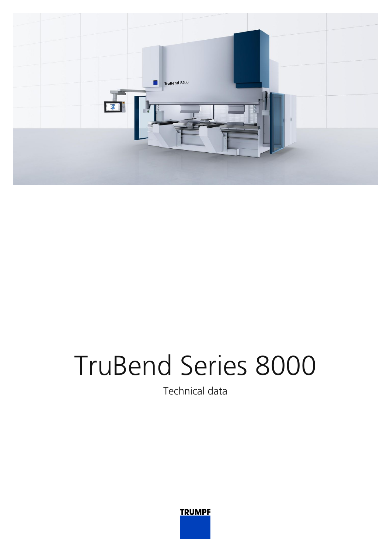

## TruBend Series 8000

Technical data

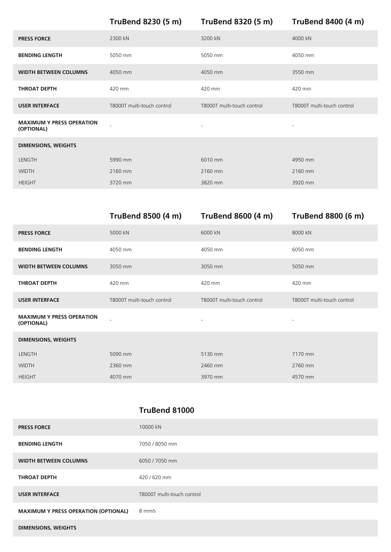**TruBend 8230 (5 m) TruBend 8320 (5 m) TruBend 8400 (4 m)**

| 2300 kN                    | 3200 kN                    | 4000 kN                    |
|----------------------------|----------------------------|----------------------------|
| 5050 mm                    | 5050 mm                    | 4050 mm                    |
| 4050 mm                    | 4050 mm                    | 3550 mm                    |
| 420 mm                     | 420 mm                     | 420 mm                     |
| T8000T multi-touch control | T8000T multi-touch control | T8000T multi-touch control |
|                            | $\sim$                     | $\overline{\phantom{a}}$   |
|                            |                            |                            |
| 5990 mm                    | 6010 mm                    | 4950 mm                    |
| 2160 mm                    | 2160 mm                    | 2160 mm                    |
| 3720 mm                    | 3820 mm                    | 3920 mm                    |
|                            |                            |                            |

|                                                | <b>TruBend 8500 (4 m)</b>  | <b>TruBend 8600 (4 m)</b>  | <b>TruBend 8800 (6 m)</b>  |
|------------------------------------------------|----------------------------|----------------------------|----------------------------|
| <b>PRESS FORCE</b>                             | 5000 kN                    | 6000 kN                    | 8000 kN                    |
| <b>BENDING LENGTH</b>                          | 4050 mm                    | 4050 mm                    | 6050 mm                    |
| <b>WIDTH BETWEEN COLUMNS</b>                   | 3050 mm                    | 3050 mm                    | 5050 mm                    |
| <b>THROAT DEPTH</b>                            | 420 mm                     | 420 mm                     | 420 mm                     |
| <b>USER INTERFACE</b>                          | T8000T multi-touch control | T8000T multi-touch control | T8000T multi-touch control |
| <b>MAXIMUM Y PRESS OPERATION</b><br>(OPTIONAL) |                            | $\overline{\phantom{0}}$   |                            |
| <b>DIMENSIONS, WEIGHTS</b>                     |                            |                            |                            |
| LENGTH                                         | 5090 mm                    | 5130 mm                    | 7170 mm                    |
| <b>WIDTH</b>                                   | 2360 mm                    | 2460 mm                    | 2760 mm                    |
| <b>HEIGHT</b>                                  | 4070 mm                    | 3970 mm                    | 4570 mm                    |

## **TruBend 81000**

| <b>PRESS FORCE</b>                          | 10000 kN                   |
|---------------------------------------------|----------------------------|
| <b>BENDING LENGTH</b>                       | 7050 / 8050 mm             |
| <b>WIDTH BETWEEN COLUMNS</b>                | 6050 / 7050 mm             |
| THROAT DEPTH                                | 420/620 mm                 |
| <b>USER INTERFACE</b>                       | T8000T multi-touch control |
| <b>MAXIMUM Y PRESS OPERATION (OPTIONAL)</b> | 8 mm/s                     |
| <b>DIMENSIONS, WEIGHTS</b>                  |                            |